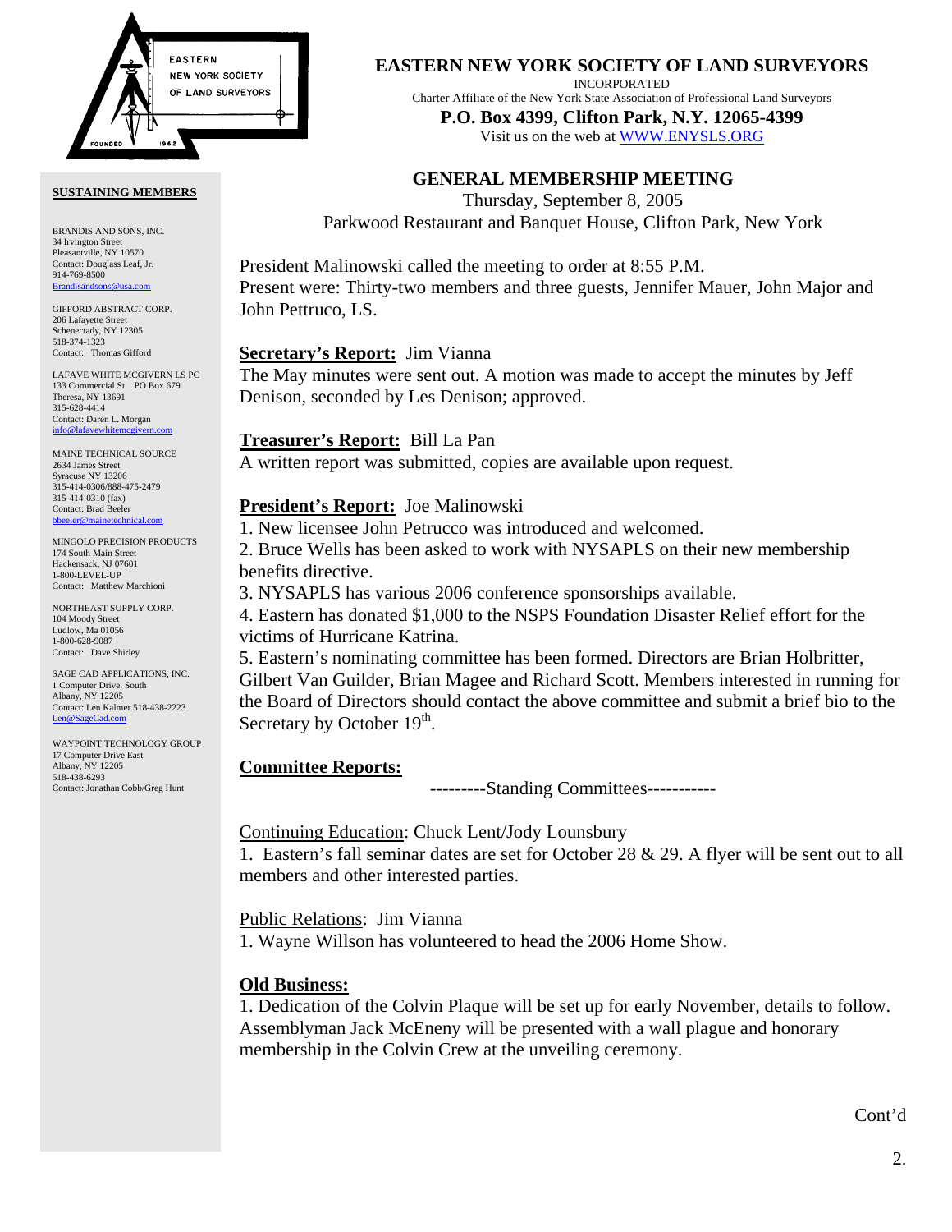

#### **SUSTAINING MEMBERS**

BRANDIS AND SONS, INC. 34 Irvington Street Pleasantville, NY 10570 Contact: Douglass Leaf, Jr. 914-769-8500 [Brandisandsons@usa.com](mailto:brandisandsons@usa.com)

GIFFORD ABSTRACT CORP. 206 Lafayette Street Schenectady, NY 12305 518-374-1323 Contact: Thomas Gifford

LAFAVE WHITE MCGIVERN LS PC 133 Commercial St PO Box 679 Theresa, NY 13691 315-628-4414 Contact: Daren L. Morgan [info@lafavewhitemcgivern.com](mailto:info@lafavewhitemcgivern.com)

MAINE TECHNICAL SOURCE 2634 James Street Syracuse NY 13206 315-414-0306/888-475-2479 315-414-0310 (fax) Contact: Brad Beeler [bbeeler@mainetechnical.com](mailto:bbeeler@mainetechnical.com)

MINGOLO PRECISION PRODUCTS 174 South Main Street Hackensack, NJ 07601 1-800-LEVEL-UP Contact: Matthew Marchioni

NORTHEAST SUPPLY CORP. 104 Moody Street Ludlow, Ma 01056 1-800-628-9087 Contact: Dave Shirley

SAGE CAD APPLICATIONS, INC. 1 Computer Drive, South Albany, NY 12205 Contact: Len Kalmer 518-438-2223 [Len@SageCad.com](mailto:len@sagecad.com)

WAYPOINT TECHNOLOGY GROUP 17 Computer Drive East Albany, NY 12205 518-438-6293 Contact: Jonathan Cobb/Greg Hunt

### **EASTERN NEW YORK SOCIETY OF LAND SURVEYORS**

INCORPORATED

Charter Affiliate of the New York State Association of Professional Land Surveyors

**P.O. Box 4399, Clifton Park, N.Y. 12065-4399**  Visit us on the web a[t WWW.ENYSLS.ORG](www.enysls.org)

# **GENERAL MEMBERSHIP MEETING**

Thursday, September 8, 2005 Parkwood Restaurant and Banquet House, Clifton Park, New York

President Malinowski called the meeting to order at 8:55 P.M. Present were: Thirty-two members and three guests, Jennifer Mauer, John Major and John Pettruco, LS.

### **Secretary's Report:** Jim Vianna

The May minutes were sent out. A motion was made to accept the minutes by Jeff Denison, seconded by Les Denison; approved.

### **Treasurer's Report:** Bill La Pan

A written report was submitted, copies are available upon request.

### **President's Report:** Joe Malinowski

1. New licensee John Petrucco was introduced and welcomed.

2. Bruce Wells has been asked to work with NYSAPLS on their new membership benefits directive.

3. NYSAPLS has various 2006 conference sponsorships available.

4. Eastern has donated \$1,000 to the NSPS Foundation Disaster Relief effort for the victims of Hurricane Katrina.

5. Eastern's nominating committee has been formed. Directors are Brian Holbritter, Gilbert Van Guilder, Brian Magee and Richard Scott. Members interested in running for the Board of Directors should contact the above committee and submit a brief bio to the Secretary by October  $19<sup>th</sup>$ .

# **Committee Reports:**

---------Standing Committees-----------

Continuing Education: Chuck Lent/Jody Lounsbury

1. Eastern's fall seminar dates are set for October 28 & 29. A flyer will be sent out to all members and other interested parties.

Public Relations: Jim Vianna

1. Wayne Willson has volunteered to head the 2006 Home Show.

# **Old Business:**

1. Dedication of the Colvin Plaque will be set up for early November, details to follow. Assemblyman Jack McEneny will be presented with a wall plague and honorary membership in the Colvin Crew at the unveiling ceremony.